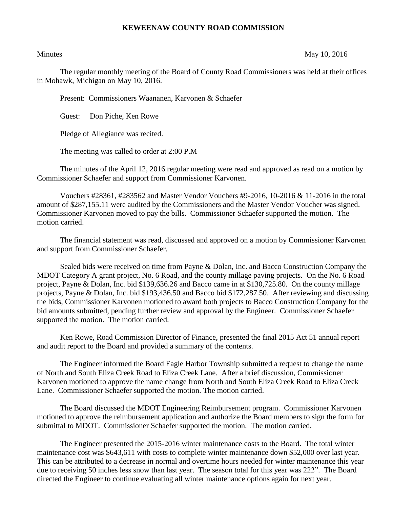## **KEWEENAW COUNTY ROAD COMMISSION**

## Minutes May 10, 2016

The regular monthly meeting of the Board of County Road Commissioners was held at their offices in Mohawk, Michigan on May 10, 2016.

Present: Commissioners Waananen, Karvonen & Schaefer

Guest: Don Piche, Ken Rowe

Pledge of Allegiance was recited.

The meeting was called to order at 2:00 P.M

The minutes of the April 12, 2016 regular meeting were read and approved as read on a motion by Commissioner Schaefer and support from Commissioner Karvonen.

Vouchers #28361, #283562 and Master Vendor Vouchers #9-2016, 10-2016 & 11-2016 in the total amount of \$287,155.11 were audited by the Commissioners and the Master Vendor Voucher was signed. Commissioner Karvonen moved to pay the bills. Commissioner Schaefer supported the motion. The motion carried.

The financial statement was read, discussed and approved on a motion by Commissioner Karvonen and support from Commissioner Schaefer.

Sealed bids were received on time from Payne & Dolan, Inc. and Bacco Construction Company the MDOT Category A grant project, No. 6 Road, and the county millage paving projects. On the No. 6 Road project, Payne & Dolan, Inc. bid \$139,636.26 and Bacco came in at \$130,725.80. On the county millage projects, Payne & Dolan, Inc. bid \$193,436.50 and Bacco bid \$172,287.50. After reviewing and discussing the bids, Commissioner Karvonen motioned to award both projects to Bacco Construction Company for the bid amounts submitted, pending further review and approval by the Engineer. Commissioner Schaefer supported the motion. The motion carried.

Ken Rowe, Road Commission Director of Finance, presented the final 2015 Act 51 annual report and audit report to the Board and provided a summary of the contents.

The Engineer informed the Board Eagle Harbor Township submitted a request to change the name of North and South Eliza Creek Road to Eliza Creek Lane. After a brief discussion, Commissioner Karvonen motioned to approve the name change from North and South Eliza Creek Road to Eliza Creek Lane. Commissioner Schaefer supported the motion. The motion carried.

The Board discussed the MDOT Engineering Reimbursement program. Commissioner Karvonen motioned to approve the reimbursement application and authorize the Board members to sign the form for submittal to MDOT. Commissioner Schaefer supported the motion. The motion carried.

The Engineer presented the 2015-2016 winter maintenance costs to the Board. The total winter maintenance cost was \$643,611 with costs to complete winter maintenance down \$52,000 over last year. This can be attributed to a decrease in normal and overtime hours needed for winter maintenance this year due to receiving 50 inches less snow than last year. The season total for this year was 222". The Board directed the Engineer to continue evaluating all winter maintenance options again for next year.